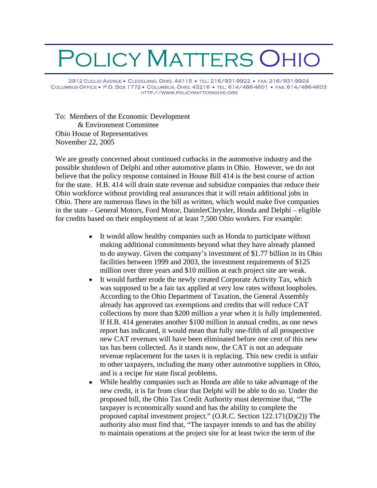## POLICY MATTERS OHIO

2912 EUCLID AVENUE · CLEVELAND, OHIO, 44115 · TEL: 216/931-9922 · FAX: 216/931-9924 COLUMBUS OFFICE . P.O. BOX 1772 . COLUMBUS, OHIO, 43216 . TEL: 614/486-4601 . FAX: 614/486-4603 HTTP://WWW.POLICYMATTERSOHIO.ORG

To: Members of the Economic Development & Environment Committee Ohio House of Representatives November 22, 2005

We are greatly concerned about continued cutbacks in the automotive industry and the possible shutdown of Delphi and other automotive plants in Ohio. However, we do not believe that the policy response contained in House Bill 414 is the best course of action for the state. H.B. 414 will drain state revenue and subsidize companies that reduce their Ohio workforce without providing real assurances that it will retain additional jobs in Ohio. There are numerous flaws in the bill as written, which would make five companies in the state – General Motors, Ford Motor, DaimlerChrysler, Honda and Delphi – eligible for credits based on their employment of at least 7,500 Ohio workers. For example:

- $\bullet$ It would allow healthy companies such as Honda to participate without making additional commitments beyond what they have already planned to do anyway. Given the company's investment of \$1.77 billion in its Ohio facilities between 1999 and 2003, the investment requirements of \$125 million over three years and \$10 million at each project site are weak.
- It would further erode the newly created Corporate Activity Tax, which  $\bullet$ was supposed to be a fair tax applied at very low rates without loopholes. According to the Ohio Department of Taxation, the General Assembly already has approved tax exemptions and credits that will reduce CAT collections by more than \$200 million a year when it is fully implemented. If H.B. 414 generates another \$100 million in annual credits, as one news report has indicated, it would mean that fully one-fifth of all prospective new CAT revenues will have been eliminated before one cent of this new tax has been collected. As it stands now, the CAT is not an adequate revenue replacement for the taxes it is replacing. This new credit is unfair to other taxpayers, including the many other automotive suppliers in Ohio, and is a recipe for state fiscal problems.
- While healthy companies such as Honda are able to take advantage of the  $\bullet$ new credit, it is far from clear that Delphi will be able to do so. Under the proposed bill, the Ohio Tax Credit Authority must determine that, The taxpayer is economically sound and has the ability to complete the proposed capital investment project." (O.R.C. Section 122.171(D)(2)) The authority also must find that, "The taxpayer intends to and has the ability to maintain operations at the project site for at least twice the term of the